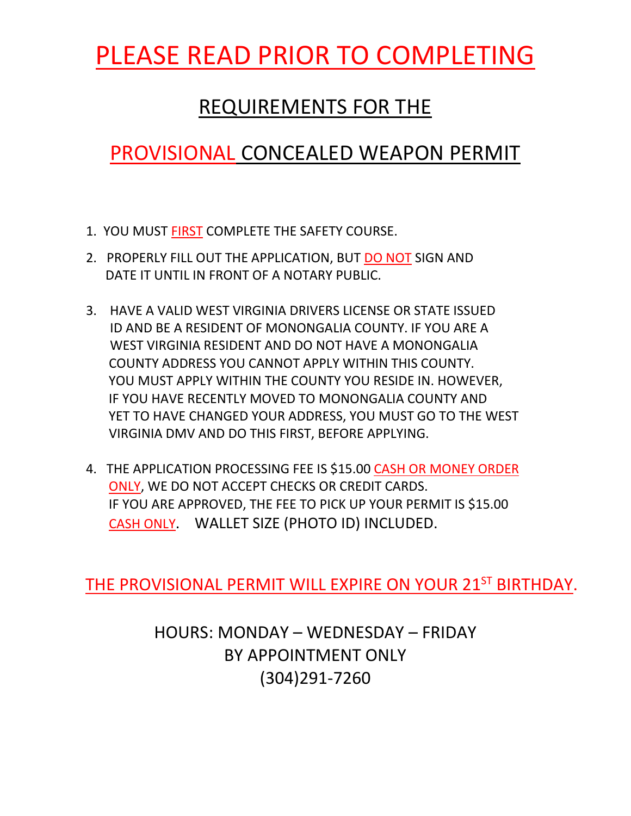## PLEASE READ PRIOR TO COMPLETING

### REQUIREMENTS FOR THE

## PROVISIONAL CONCEALED WEAPON PERMIT

- 1. YOU MUST FIRST COMPLETE THE SAFETY COURSE.
- 2. PROPERLY FILL OUT THE APPLICATION, BUT DO NOT SIGN AND DATE IT UNTIL IN FRONT OF A NOTARY PUBLIC.
- 3. HAVE A VALID WEST VIRGINIA DRIVERS LICENSE OR STATE ISSUED ID AND BE A RESIDENT OF MONONGALIA COUNTY. IF YOU ARE A WEST VIRGINIA RESIDENT AND DO NOT HAVE A MONONGALIA COUNTY ADDRESS YOU CANNOT APPLY WITHIN THIS COUNTY. YOU MUST APPLY WITHIN THE COUNTY YOU RESIDE IN. HOWEVER, IF YOU HAVE RECENTLY MOVED TO MONONGALIA COUNTY AND YET TO HAVE CHANGED YOUR ADDRESS, YOU MUST GO TO THE WEST VIRGINIA DMV AND DO THIS FIRST, BEFORE APPLYING.
- 4. THE APPLICATION PROCESSING FEE IS \$15.00 CASH OR MONEY ORDER ONLY, WE DO NOT ACCEPT CHECKS OR CREDIT CARDS. IF YOU ARE APPROVED, THE FEE TO PICK UP YOUR PERMIT IS \$15.00 CASH ONLY. WALLET SIZE (PHOTO ID) INCLUDED.

THE PROVISIONAL PERMIT WILL EXPIRE ON YOUR 21ST BIRTHDAY.

HOURS: MONDAY – WEDNESDAY – FRIDAY BY APPOINTMENT ONLY (304)291-7260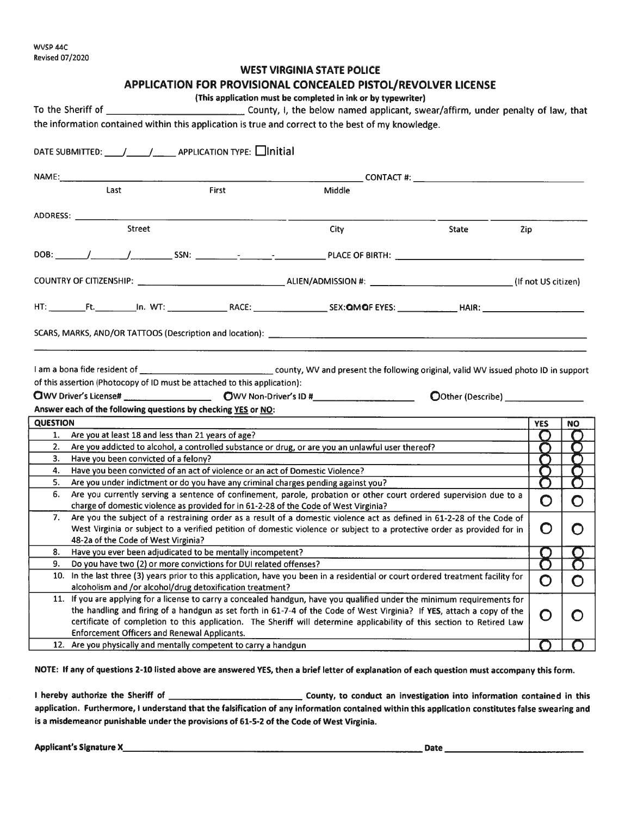#### **WEST VIRGINIA STATE POLICE APPLICATION FOR PROVISIONAL CONCEALED PISTOL/REVOLVER LICENSE** (This application must be completed in ink or by typewriter) To the Sheriff of County, I, the below named applicant, swear/affirm, under penalty of law, that the information contained within this application is true and correct to the best of my knowledge. DATE SUBMITTED:  $\left/ \right/ \right/$  APPLICATION TYPE:  $\Box$  Initial **CONTACT #:** The contract of the contract of the contract of the contract of the contract of the contract of the contract of the contract of the contract of the contract of the contract of the contract of the contract of t  $\frac{1}{1}$  $Firt$ Middle ADDRESS: Street City State Zip. HT: Ft. In. WT: RACE: SEX: QMOF EYES: HAIR: I am a bona fide resident of county, WV and present the following original, valid WV issued photo ID in support of this assertion (Photocopy of ID must be attached to this application): Answer each of the following questions by checking YES or NO: **OUESTION YES NO**  $1.$ Are you at least 18 and less than 21 years of age?  $2.$ Are you addicted to alcohol, a controlled substance or drug, or are you an unlawful user thereof? С Have you been convicted of a felony?  $3.$ С Г  $4.$ Have you been convicted of an act of violence or an act of Domestic Violence?  $5.$ Are you under indictment or do you have any criminal charges pending against you? 6. Are you currently serving a sentence of confinement, parole, probation or other court ordered supervision due to a ∩  $\bigcirc$ charge of domestic violence as provided for in 61-2-28 of the Code of West Virginia?  $7.$ Are you the subject of a restraining order as a result of a domestic violence act as defined in 61-2-28 of the Code of West Virginia or subject to a verified petition of domestic violence or subject to a protective order as provided for in O O 48-2a of the Code of West Virginia? 8. Have you ever been adjudicated to be mentally incompetent? 9. Do you have two (2) or more convictions for DUI related offenses? 10. In the last three (3) years prior to this application, have you been in a residential or court ordered treatment facility for ∩ O alcoholism and /or alcohol/drug detoxification treatment? 11. If you are applying for a license to carry a concealed handgun, have you qualified under the minimum requirements for the handling and firing of a handgun as set forth in 61-7-4 of the Code of West Virginia? If YES, attach a copy of the O O certificate of completion to this application. The Sheriff will determine applicability of this section to Retired Law **Enforcement Officers and Renewal Applicants.** 12. Are you physically and mentally competent to carry a handgun

NOTE: If any of questions 2-10 listed above are answered YES, then a brief letter of explanation of each question must accompany this form.

application. Furthermore, I understand that the falsification of any information contained within this application constitutes false swearing and is a misdemeanor punishable under the provisions of 61-5-2 of the Code of West Virginia.

Applicant's Signature X\_\_\_\_\_\_\_\_\_\_\_\_\_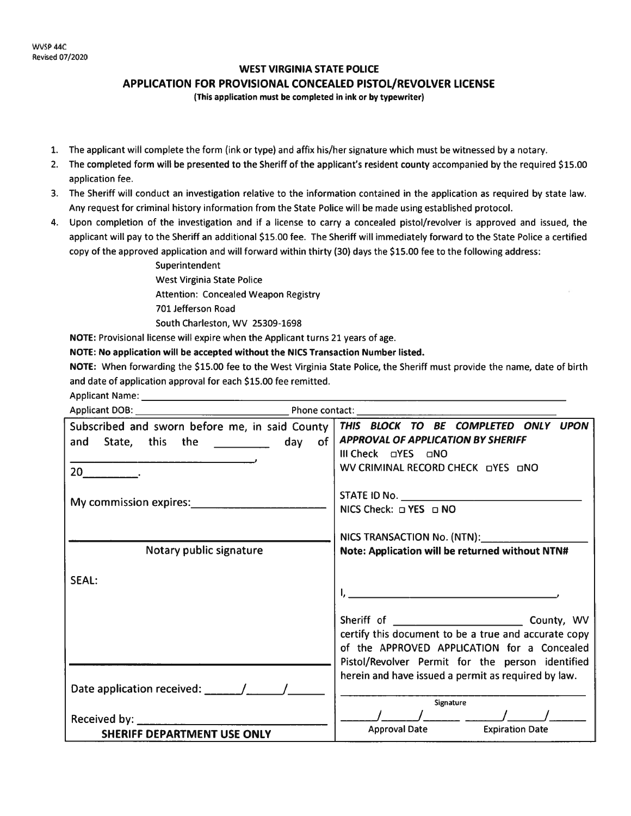### **WEST VIRGINIA STATE POLICE**

**APPLICATION FOR PROVISIONAL CONCEALED PISTOL/REVOLVER LICENSE** 

(This application must be completed in ink or by typewriter)

- 1. The applicant will complete the form (ink or type) and affix his/her signature which must be witnessed by a notary.
- 2. The completed form will be presented to the Sheriff of the applicant's resident county accompanied by the required \$15.00 application fee.
- 3. The Sheriff will conduct an investigation relative to the information contained in the application as required by state law. Any request for criminal history information from the State Police will be made using established protocol.
- 4. Upon completion of the investigation and if a license to carry a concealed pistol/revolver is approved and issued, the applicant will pay to the Sheriff an additional \$15.00 fee. The Sheriff will immediately forward to the State Police a certified copy of the approved application and will forward within thirty (30) days the \$15.00 fee to the following address:
	- Superintendent **West Virginia State Police Attention: Concealed Weapon Registry** 701 Jefferson Road South Charleston, WV 25309-1698

NOTE: Provisional license will expire when the Applicant turns 21 years of age.

NOTE: No application will be accepted without the NICS Transaction Number listed.

NOTE: When forwarding the \$15.00 fee to the West Virginia State Police, the Sheriff must provide the name, date of birth and date of application approval for each \$15.00 fee remitted.

Applicant Name:

| Subscribed and sworn before me, in said County<br>and State, this the <b>witch the state and State</b> , this the <b>state</b> and day of<br>$20$ <sub>___________</sub> . | THIS BLOCK TO BE COMPLETED ONLY UPON<br><b>APPROVAL OF APPLICATION BY SHERIFF</b><br>WV CRIMINAL RECORD CHECK DYES DNO                                  |
|----------------------------------------------------------------------------------------------------------------------------------------------------------------------------|---------------------------------------------------------------------------------------------------------------------------------------------------------|
|                                                                                                                                                                            | NICS Check: $\Box$ YES $\Box$ NO                                                                                                                        |
| Notary public signature                                                                                                                                                    | Note: Application will be returned without NTN#                                                                                                         |
| SEAL:                                                                                                                                                                      |                                                                                                                                                         |
|                                                                                                                                                                            | certify this document to be a true and accurate copy<br>of the APPROVED APPLICATION for a Concealed<br>Pistol/Revolver Permit for the person identified |
|                                                                                                                                                                            | herein and have issued a permit as required by law.<br>Signature                                                                                        |
|                                                                                                                                                                            |                                                                                                                                                         |
| <b>SHERIFF DEPARTMENT USE ONLY</b>                                                                                                                                         | <b>Approval Date Expiration Date</b>                                                                                                                    |